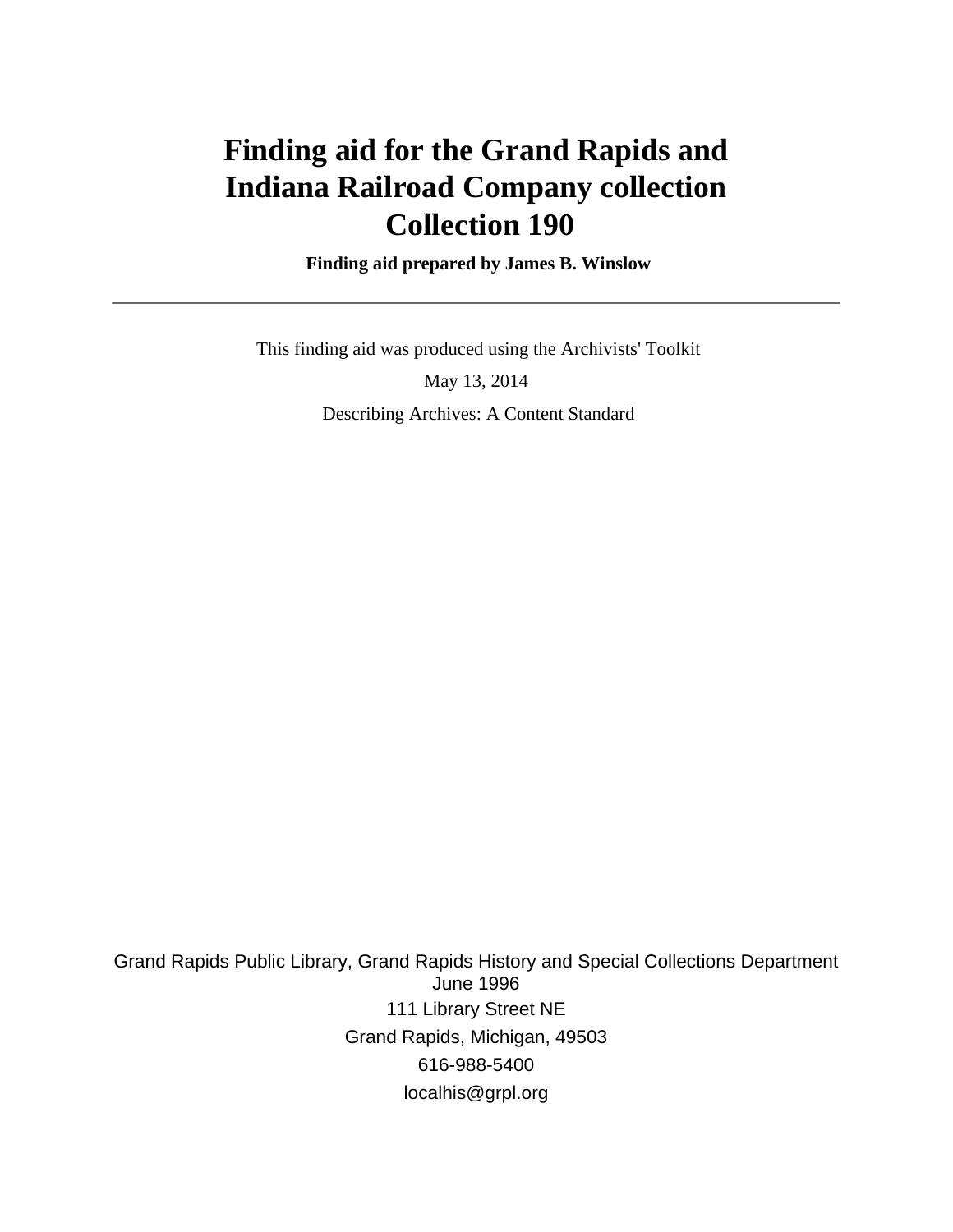# **Finding aid for the Grand Rapids and Indiana Railroad Company collection Collection 190**

 **Finding aid prepared by James B. Winslow**

 This finding aid was produced using the Archivists' Toolkit May 13, 2014 Describing Archives: A Content Standard

Grand Rapids Public Library, Grand Rapids History and Special Collections Department June 1996 111 Library Street NE Grand Rapids, Michigan, 49503 616-988-5400 localhis@grpl.org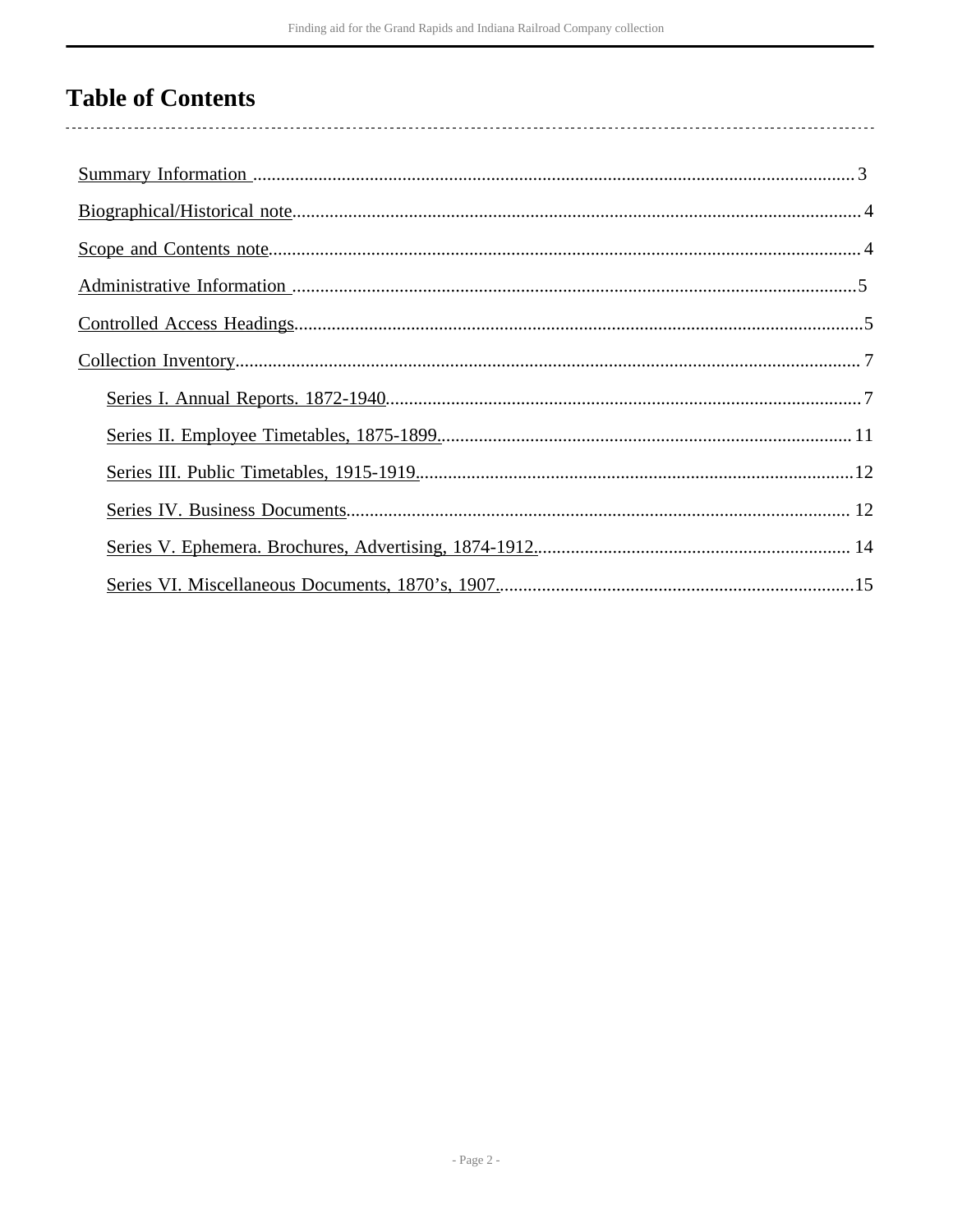# **Table of Contents**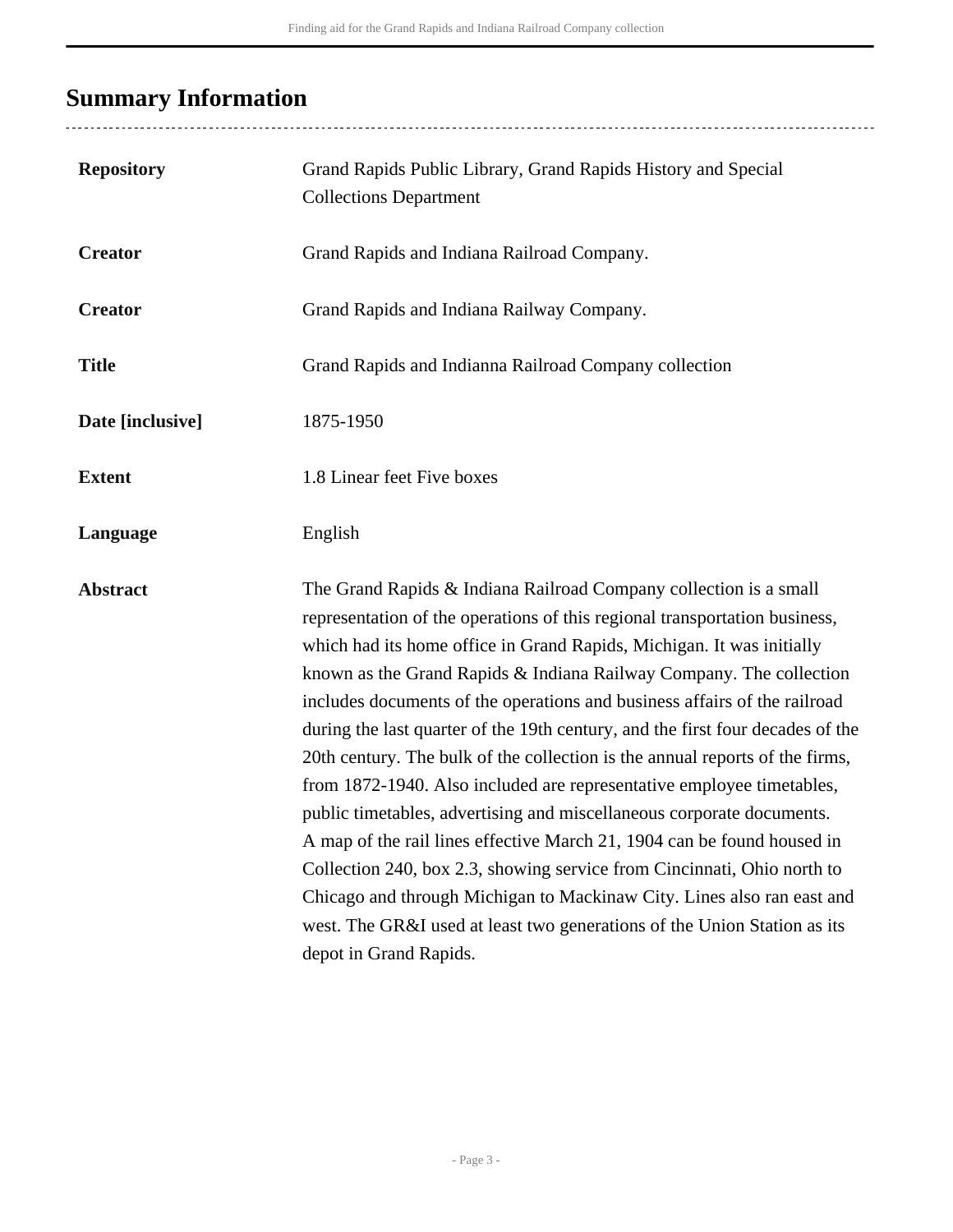# <span id="page-2-0"></span>**Summary Information**

| <b>Repository</b> | Grand Rapids Public Library, Grand Rapids History and Special<br><b>Collections Department</b>                                                                                                                                                                                                                                                                                                                                                                                                                                                                                                                                                                                                                                                                                                                                                                                                                                                                                                                                         |
|-------------------|----------------------------------------------------------------------------------------------------------------------------------------------------------------------------------------------------------------------------------------------------------------------------------------------------------------------------------------------------------------------------------------------------------------------------------------------------------------------------------------------------------------------------------------------------------------------------------------------------------------------------------------------------------------------------------------------------------------------------------------------------------------------------------------------------------------------------------------------------------------------------------------------------------------------------------------------------------------------------------------------------------------------------------------|
| <b>Creator</b>    | Grand Rapids and Indiana Railroad Company.                                                                                                                                                                                                                                                                                                                                                                                                                                                                                                                                                                                                                                                                                                                                                                                                                                                                                                                                                                                             |
| <b>Creator</b>    | Grand Rapids and Indiana Railway Company.                                                                                                                                                                                                                                                                                                                                                                                                                                                                                                                                                                                                                                                                                                                                                                                                                                                                                                                                                                                              |
| <b>Title</b>      | Grand Rapids and Indianna Railroad Company collection                                                                                                                                                                                                                                                                                                                                                                                                                                                                                                                                                                                                                                                                                                                                                                                                                                                                                                                                                                                  |
| Date [inclusive]  | 1875-1950                                                                                                                                                                                                                                                                                                                                                                                                                                                                                                                                                                                                                                                                                                                                                                                                                                                                                                                                                                                                                              |
| <b>Extent</b>     | 1.8 Linear feet Five boxes                                                                                                                                                                                                                                                                                                                                                                                                                                                                                                                                                                                                                                                                                                                                                                                                                                                                                                                                                                                                             |
| Language          | English                                                                                                                                                                                                                                                                                                                                                                                                                                                                                                                                                                                                                                                                                                                                                                                                                                                                                                                                                                                                                                |
| <b>Abstract</b>   | The Grand Rapids & Indiana Railroad Company collection is a small<br>representation of the operations of this regional transportation business,<br>which had its home office in Grand Rapids, Michigan. It was initially<br>known as the Grand Rapids & Indiana Railway Company. The collection<br>includes documents of the operations and business affairs of the railroad<br>during the last quarter of the 19th century, and the first four decades of the<br>20th century. The bulk of the collection is the annual reports of the firms,<br>from 1872-1940. Also included are representative employee timetables,<br>public timetables, advertising and miscellaneous corporate documents.<br>A map of the rail lines effective March 21, 1904 can be found housed in<br>Collection 240, box 2.3, showing service from Cincinnati, Ohio north to<br>Chicago and through Michigan to Mackinaw City. Lines also ran east and<br>west. The GR&I used at least two generations of the Union Station as its<br>depot in Grand Rapids. |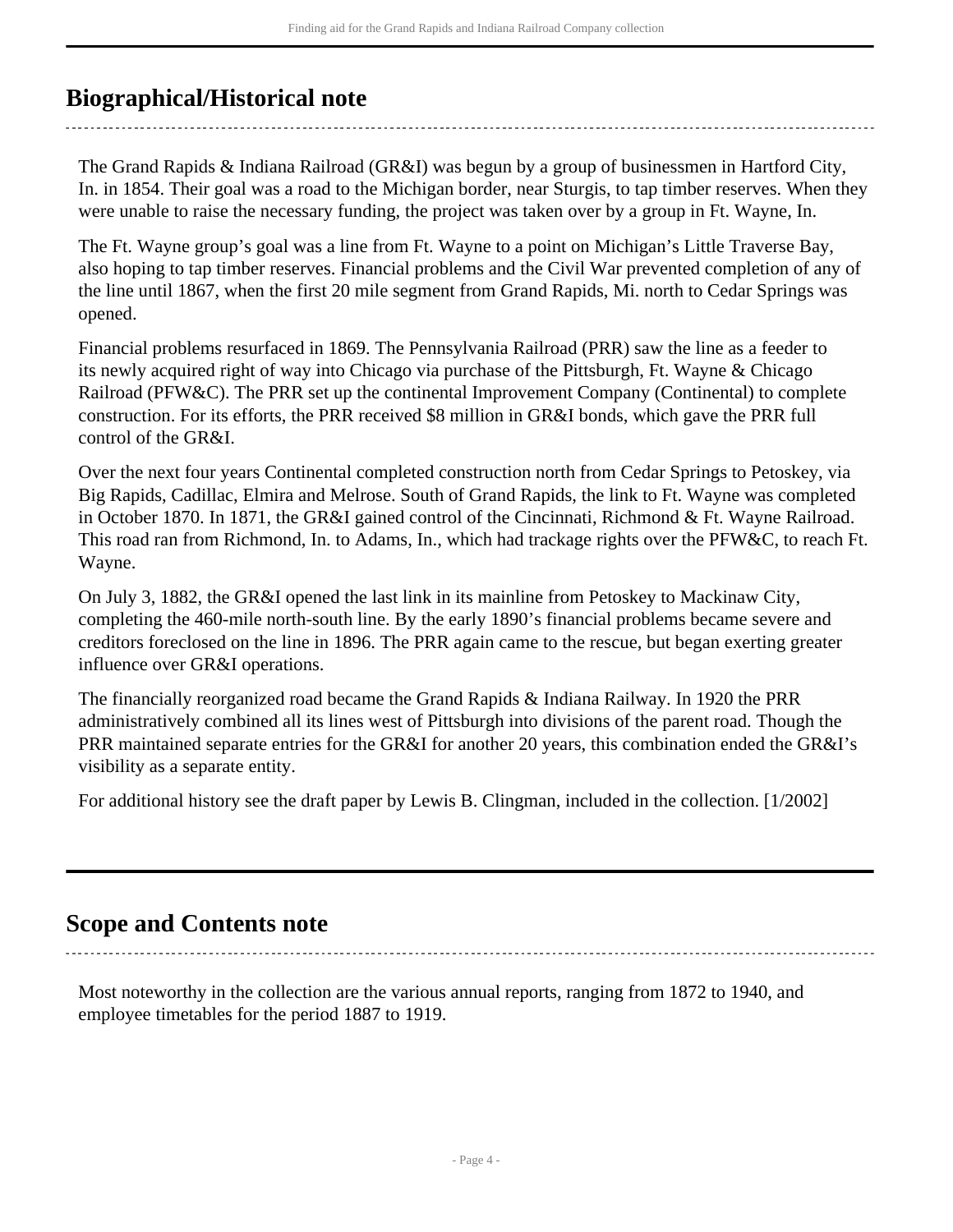# <span id="page-3-0"></span>**Biographical/Historical note**

The Grand Rapids & Indiana Railroad (GR&I) was begun by a group of businessmen in Hartford City, In. in 1854. Their goal was a road to the Michigan border, near Sturgis, to tap timber reserves. When they were unable to raise the necessary funding, the project was taken over by a group in Ft. Wayne, In.

The Ft. Wayne group's goal was a line from Ft. Wayne to a point on Michigan's Little Traverse Bay, also hoping to tap timber reserves. Financial problems and the Civil War prevented completion of any of the line until 1867, when the first 20 mile segment from Grand Rapids, Mi. north to Cedar Springs was opened.

Financial problems resurfaced in 1869. The Pennsylvania Railroad (PRR) saw the line as a feeder to its newly acquired right of way into Chicago via purchase of the Pittsburgh, Ft. Wayne & Chicago Railroad (PFW&C). The PRR set up the continental Improvement Company (Continental) to complete construction. For its efforts, the PRR received \$8 million in GR&I bonds, which gave the PRR full control of the GR&I.

Over the next four years Continental completed construction north from Cedar Springs to Petoskey, via Big Rapids, Cadillac, Elmira and Melrose. South of Grand Rapids, the link to Ft. Wayne was completed in October 1870. In 1871, the GR&I gained control of the Cincinnati, Richmond & Ft. Wayne Railroad. This road ran from Richmond, In. to Adams, In., which had trackage rights over the PFW&C, to reach Ft. Wayne.

On July 3, 1882, the GR&I opened the last link in its mainline from Petoskey to Mackinaw City, completing the 460-mile north-south line. By the early 1890's financial problems became severe and creditors foreclosed on the line in 1896. The PRR again came to the rescue, but began exerting greater influence over GR&I operations.

The financially reorganized road became the Grand Rapids & Indiana Railway. In 1920 the PRR administratively combined all its lines west of Pittsburgh into divisions of the parent road. Though the PRR maintained separate entries for the GR&I for another 20 years, this combination ended the GR&I's visibility as a separate entity.

For additional history see the draft paper by Lewis B. Clingman, included in the collection. [1/2002]

## <span id="page-3-1"></span>**Scope and Contents note**

Most noteworthy in the collection are the various annual reports, ranging from 1872 to 1940, and employee timetables for the period 1887 to 1919.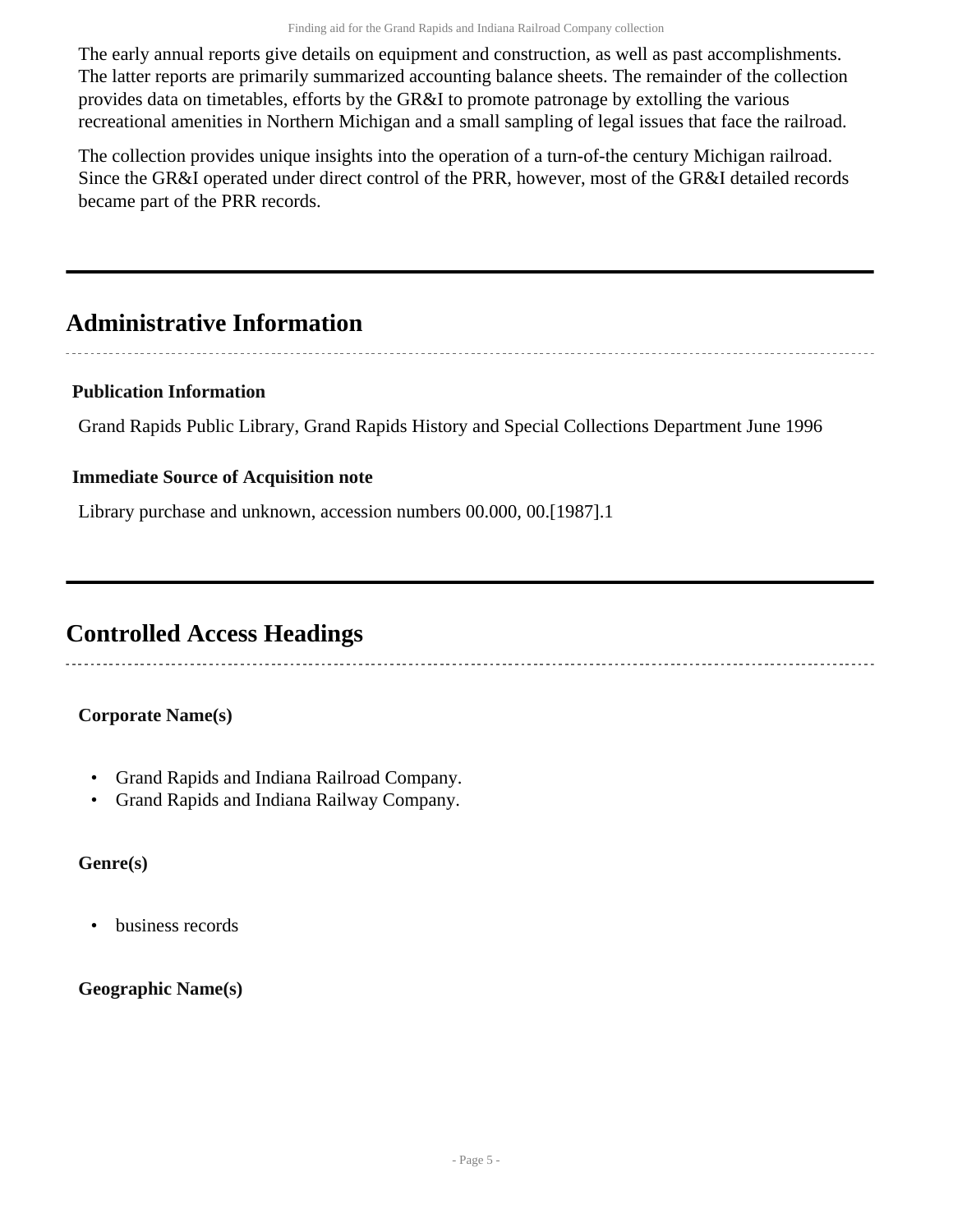The early annual reports give details on equipment and construction, as well as past accomplishments. The latter reports are primarily summarized accounting balance sheets. The remainder of the collection provides data on timetables, efforts by the GR&I to promote patronage by extolling the various recreational amenities in Northern Michigan and a small sampling of legal issues that face the railroad.

The collection provides unique insights into the operation of a turn-of-the century Michigan railroad. Since the GR&I operated under direct control of the PRR, however, most of the GR&I detailed records became part of the PRR records.

# <span id="page-4-0"></span>**Administrative Information**

### **Publication Information**

Grand Rapids Public Library, Grand Rapids History and Special Collections Department June 1996

#### **Immediate Source of Acquisition note**

Library purchase and unknown, accession numbers 00.000, 00.[1987].1

## <span id="page-4-1"></span>**Controlled Access Headings**

### **Corporate Name(s)**

- Grand Rapids and Indiana Railroad Company.
- Grand Rapids and Indiana Railway Company.

### **Genre(s)**

• business records

### **Geographic Name(s)**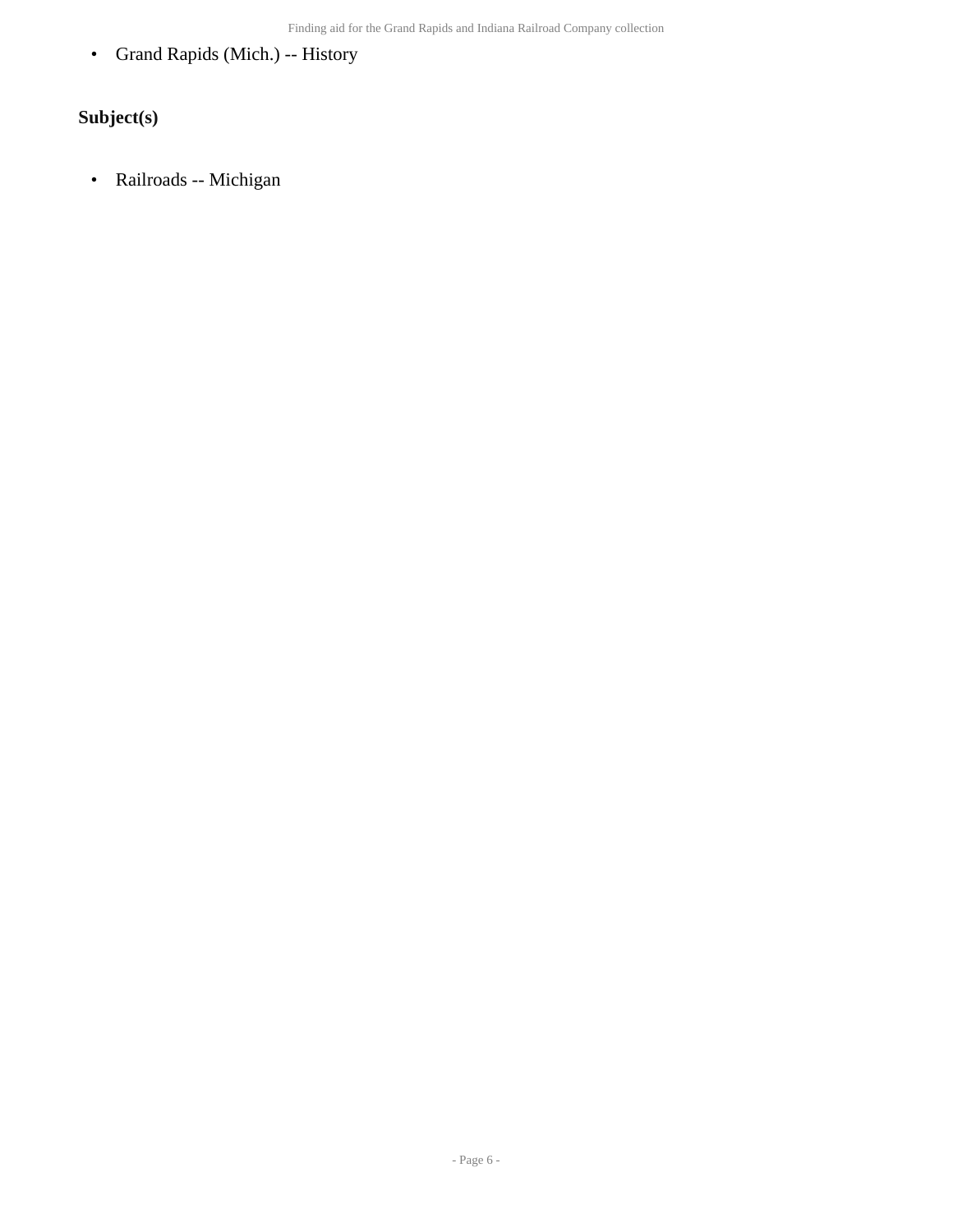• Grand Rapids (Mich.) -- History

## **Subject(s)**

• Railroads -- Michigan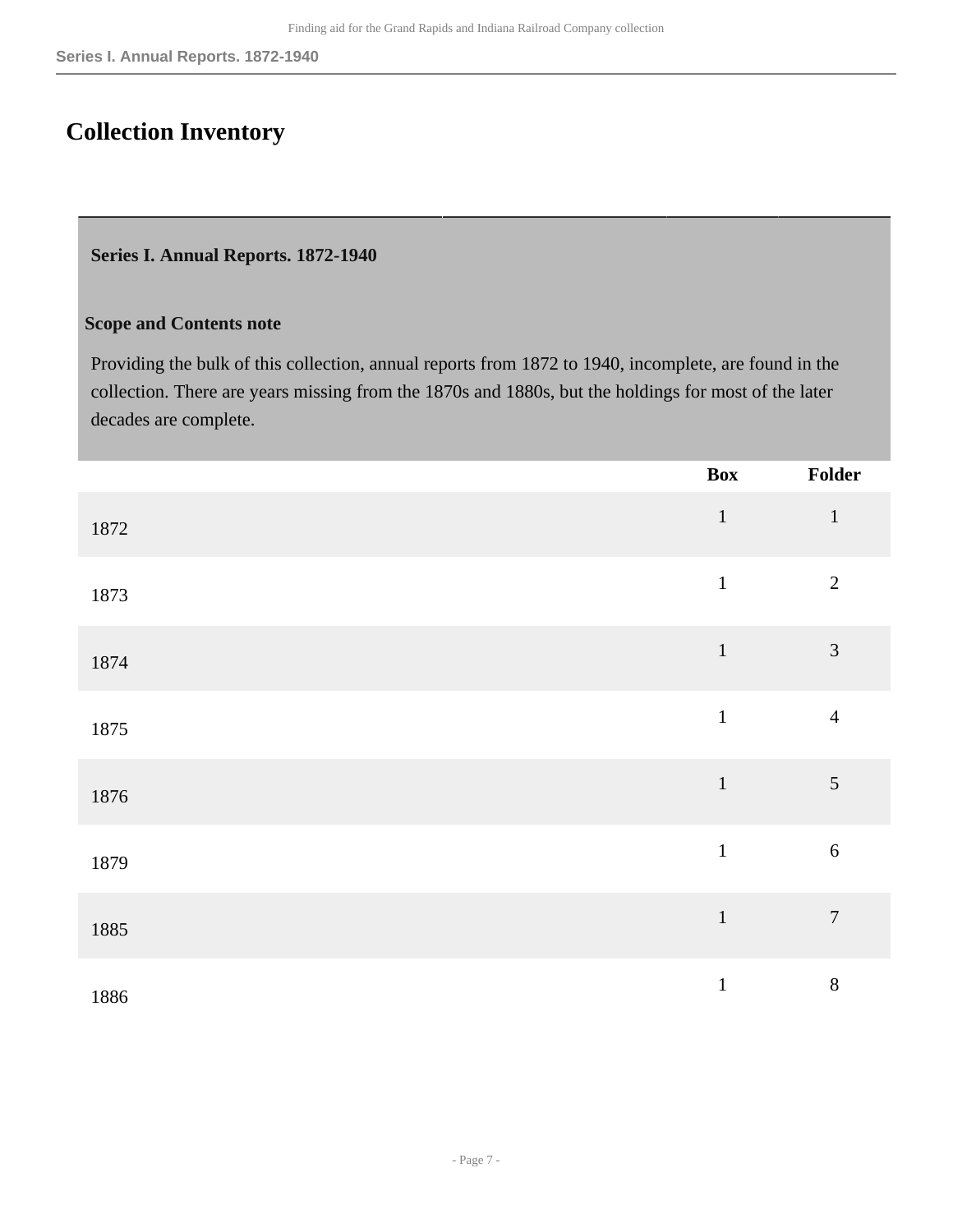# <span id="page-6-0"></span>**Collection Inventory**

#### <span id="page-6-1"></span>**Series I. Annual Reports. 1872-1940**

#### **Scope and Contents note**

Providing the bulk of this collection, annual reports from 1872 to 1940, incomplete, are found in the collection. There are years missing from the 1870s and 1880s, but the holdings for most of the later decades are complete.

|      | <b>Box</b>   | Folder           |
|------|--------------|------------------|
| 1872 | $1\,$        | $\mathbf{1}$     |
| 1873 | $\mathbf{1}$ | $\overline{2}$   |
| 1874 | $1\,$        | $\mathfrak{Z}$   |
| 1875 | $\mathbf 1$  | $\overline{4}$   |
| 1876 | $1\,$        | $\sqrt{5}$       |
| 1879 | $\mathbf{1}$ | $\sqrt{6}$       |
| 1885 | $\mathbf{1}$ | $\boldsymbol{7}$ |
| 1886 | $\mathbf 1$  | $8\,$            |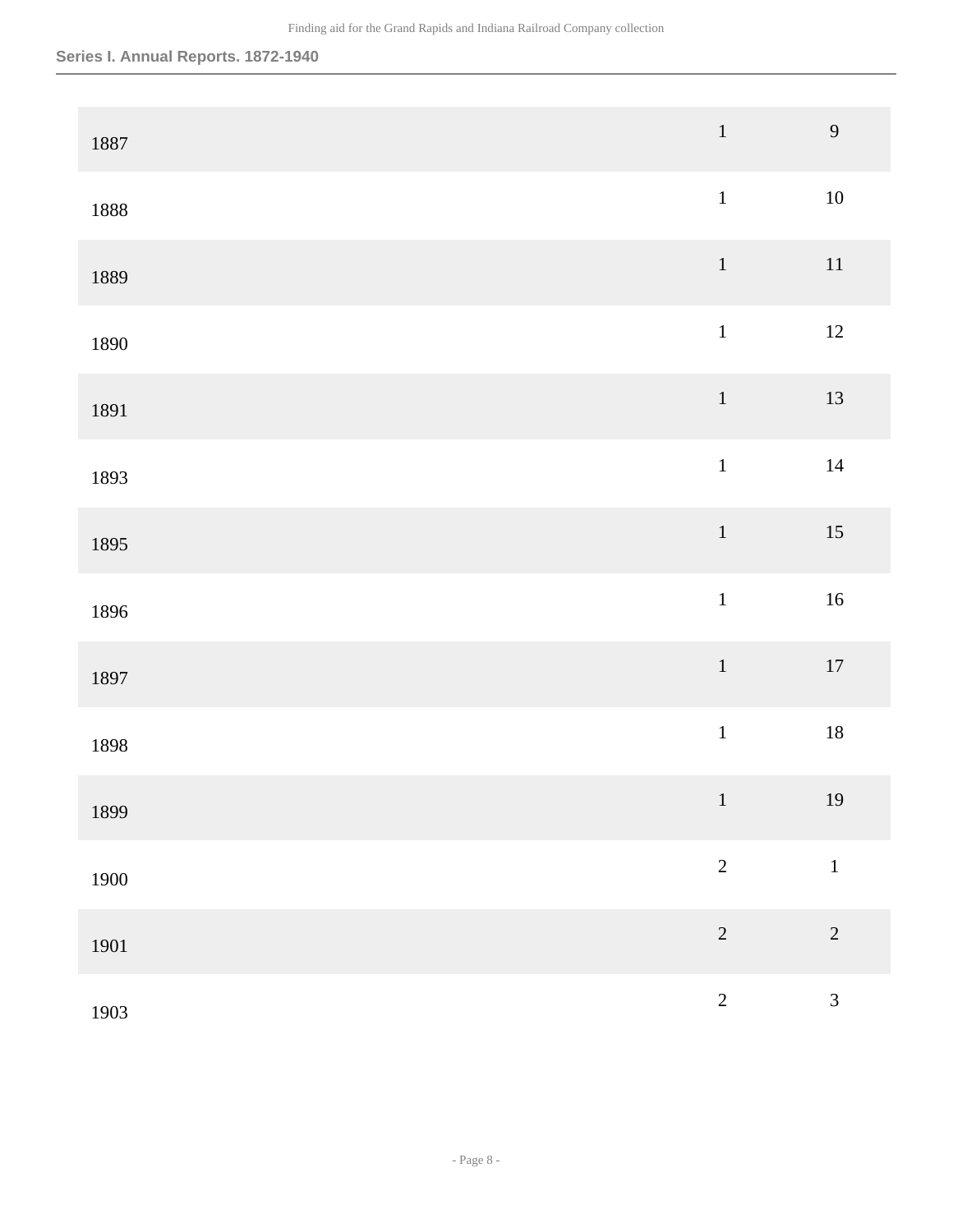| 1887 | $\,1\,$        | 9              |
|------|----------------|----------------|
| 1888 | $\,1$          | $10\,$         |
| 1889 | $\,1\,$        | $11\,$         |
| 1890 | $\,1$          | $12\,$         |
| 1891 | $\,1\,$        | 13             |
| 1893 | $\mathbf{1}$   | $14\,$         |
| 1895 | $\,1\,$        | 15             |
| 1896 | $\,1$          | $16\,$         |
| 1897 | $\mathbf 1$    | $17\,$         |
| 1898 | $\,1$          | $18\,$         |
| 1899 | $\vert$        | 19             |
| 1900 | $\sqrt{2}$     | $\mathbf{1}$   |
| 1901 | $\overline{c}$ | $\overline{2}$ |
| 1903 | $\overline{2}$ | $\overline{3}$ |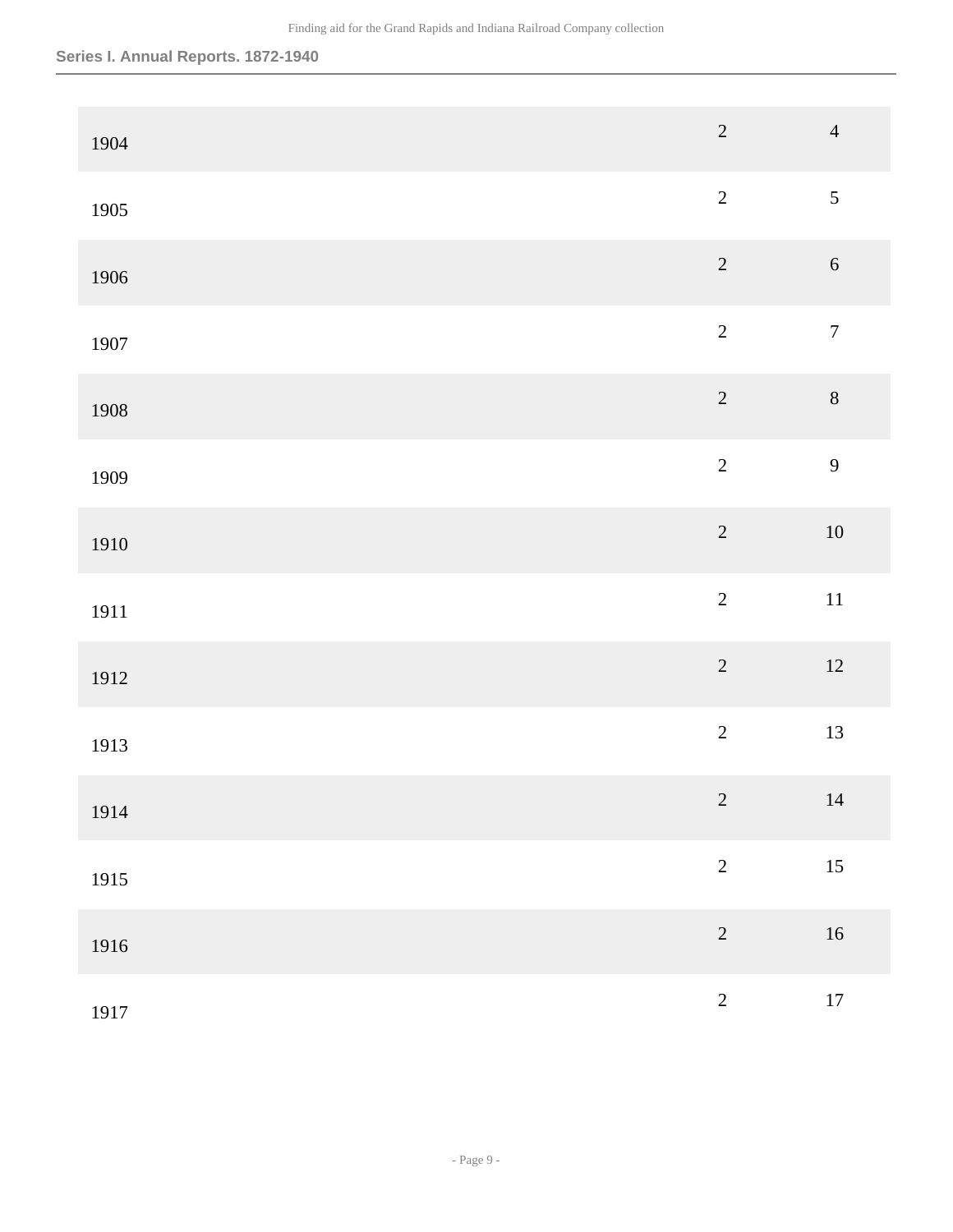| 1904 | $\overline{c}$ | $\overline{4}$   |
|------|----------------|------------------|
| 1905 | $\overline{c}$ | 5                |
| 1906 | $\sqrt{2}$     | $\sqrt{6}$       |
| 1907 | $\overline{2}$ | $\boldsymbol{7}$ |
| 1908 | $\sqrt{2}$     | $\,8\,$          |
| 1909 | $\overline{2}$ | 9                |
| 1910 | $\overline{c}$ | $10\,$           |
| 1911 | $\overline{2}$ | $11\,$           |
| 1912 | $\overline{c}$ | $12\,$           |
| 1913 | $\sqrt{2}$     | 13               |
| 1914 | $\overline{2}$ | 14               |
| 1915 | $\sqrt{2}$     | 15               |
| 1916 | $\sqrt{2}$     | $16\,$           |
| 1917 | $\overline{c}$ | $17\,$           |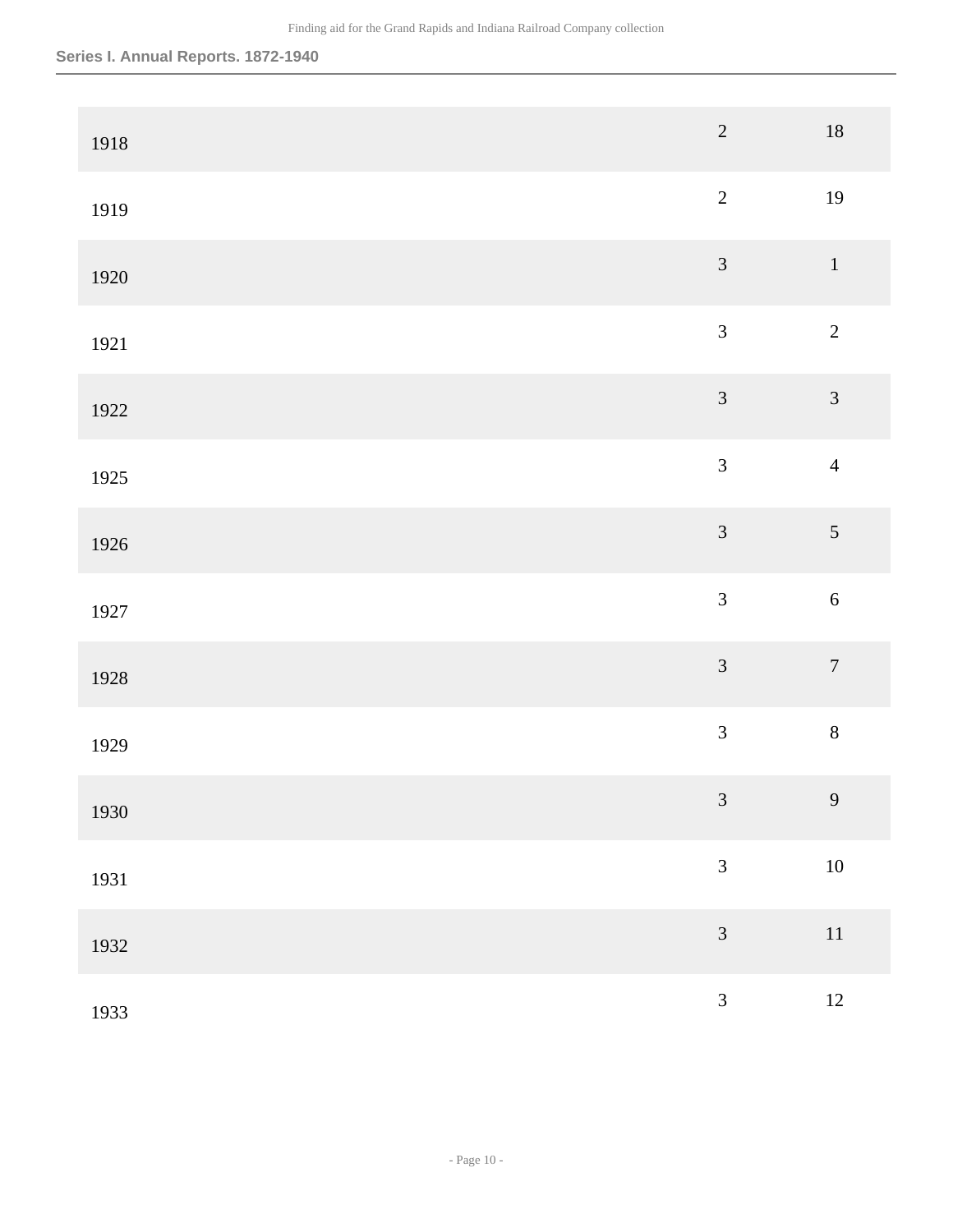| 1918 | $\overline{2}$ | $18\,$           |
|------|----------------|------------------|
| 1919 | $\overline{2}$ | 19               |
| 1920 | $\mathfrak{Z}$ | $\,1\,$          |
| 1921 | $\mathfrak{Z}$ | $\sqrt{2}$       |
| 1922 | $\mathfrak{Z}$ | $\mathfrak{Z}$   |
| 1925 | $\overline{3}$ | $\overline{4}$   |
| 1926 | $\mathfrak{Z}$ | $\mathfrak{S}$   |
| 1927 | $\overline{3}$ | $\sqrt{6}$       |
| 1928 | $\mathfrak{Z}$ | $\boldsymbol{7}$ |
| 1929 | $\mathfrak{Z}$ | $\,8\,$          |
| 1930 | $\mathfrak{Z}$ | 9 <sup>°</sup>   |
| 1931 | $\mathfrak{Z}$ | $10\,$           |
| 1932 | $\mathfrak{Z}$ | $11\,$           |
| 1933 | $\overline{3}$ | $12 \,$          |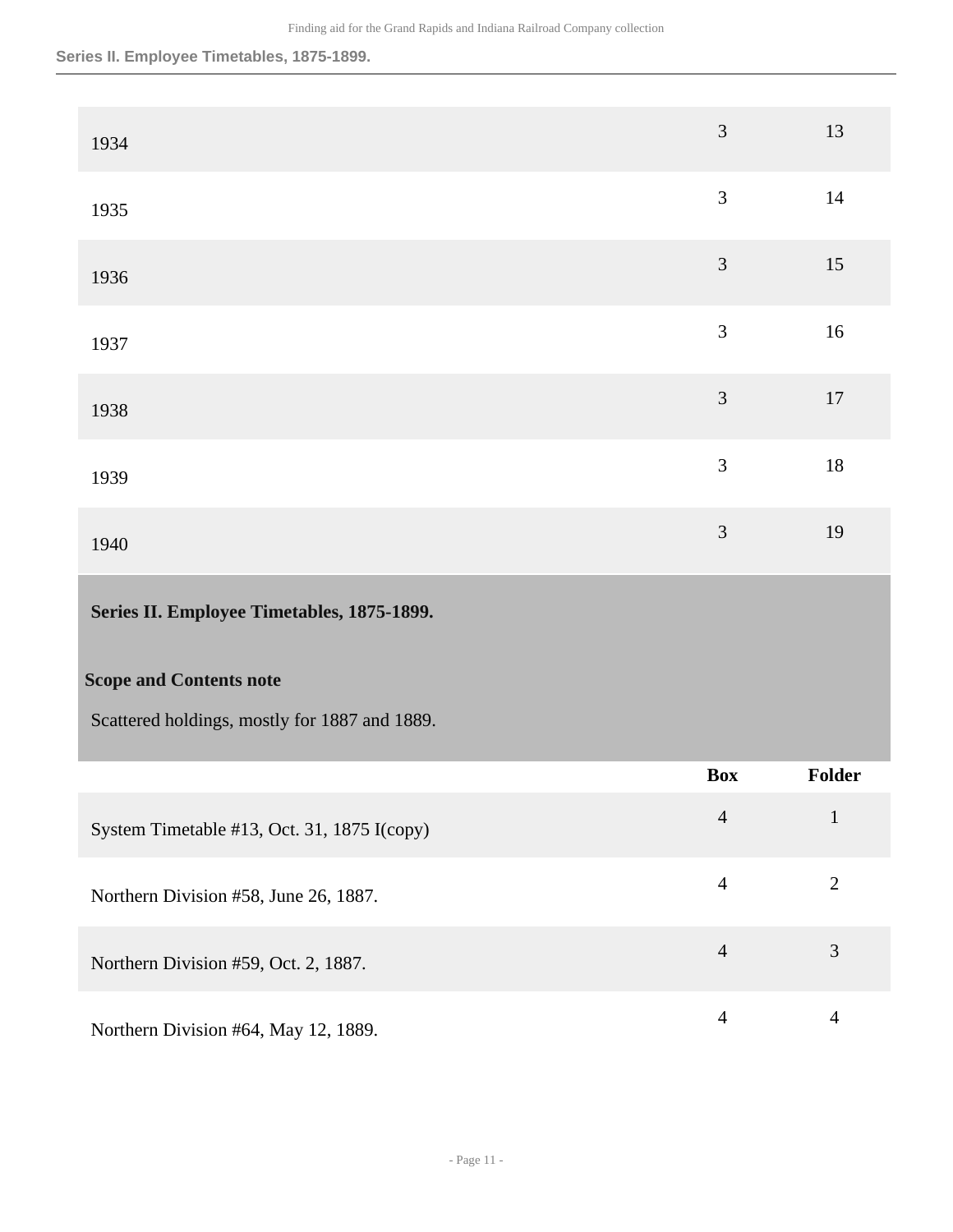**Series II. Employee Timetables, 1875-1899.**

<span id="page-10-0"></span>

| 1934                                          | 3              | 13             |
|-----------------------------------------------|----------------|----------------|
| 1935                                          | 3              | 14             |
| 1936                                          | $\mathfrak{Z}$ | 15             |
| 1937                                          | $\overline{3}$ | 16             |
| 1938                                          | 3              | 17             |
| 1939                                          | 3              | 18             |
| 1940                                          | 3              | 19             |
|                                               |                |                |
| Series II. Employee Timetables, 1875-1899.    |                |                |
| <b>Scope and Contents note</b>                |                |                |
| Scattered holdings, mostly for 1887 and 1889. |                |                |
|                                               | <b>Box</b>     | Folder         |
| System Timetable #13, Oct. 31, 1875 I(copy)   | $\overline{4}$ | $\mathbf{1}$   |
| Northern Division #58, June 26, 1887.         | $\overline{4}$ | $\mathbf{2}$   |
| Northern Division #59, Oct. 2, 1887.          | $\overline{4}$ | $\mathfrak{Z}$ |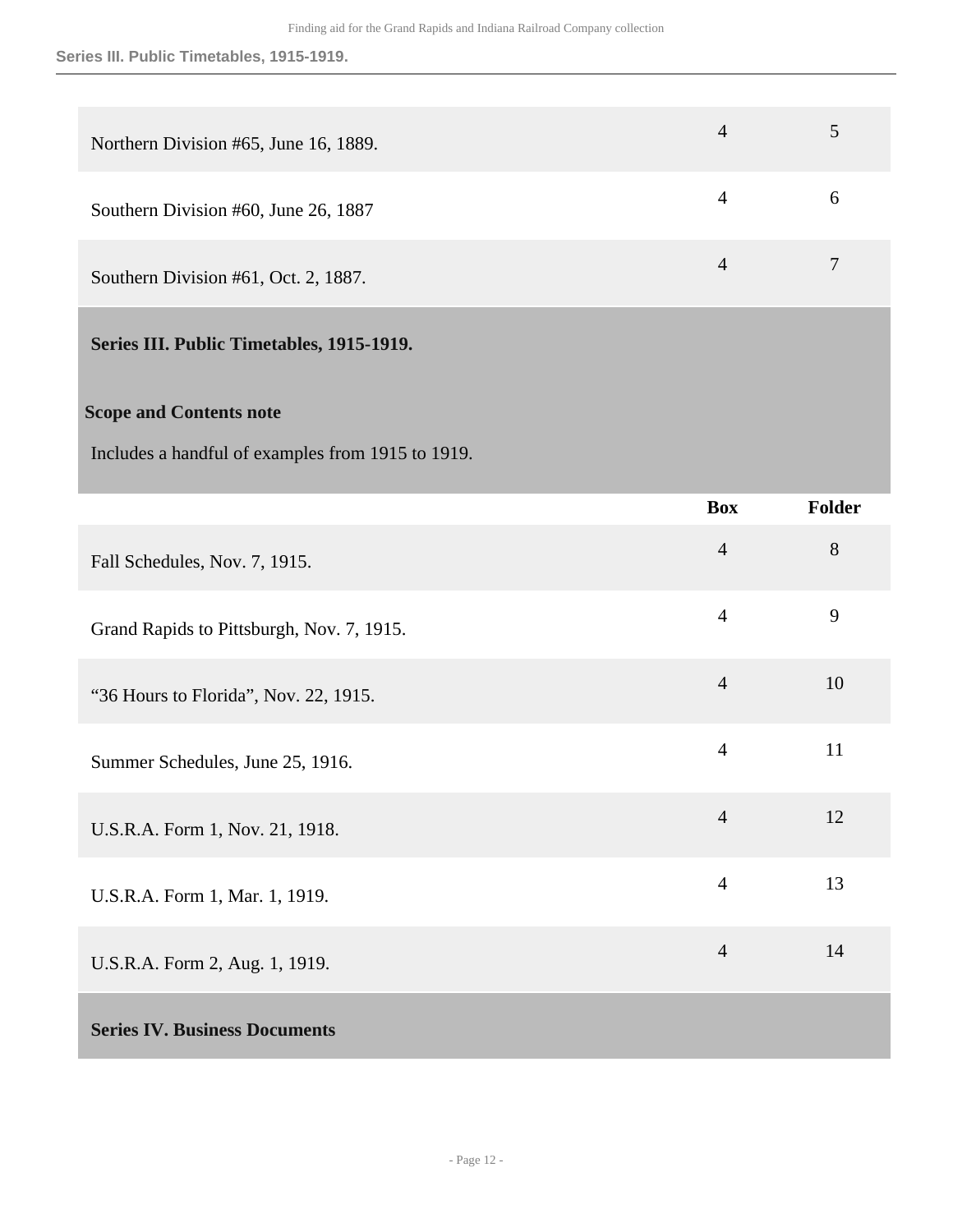#### **Series III. Public Timetables, 1915-1919.**

| Northern Division #65, June 16, 1889.     | $\overline{4}$ |   |
|-------------------------------------------|----------------|---|
| Southern Division #60, June 26, 1887      | 4              | 6 |
| Southern Division #61, Oct. 2, 1887.      | $\overline{4}$ |   |
| Series III. Public Timetables, 1915-1919. |                |   |

### <span id="page-11-0"></span>**Scope and Contents note**

Includes a handful of examples from 1915 to 1919.

<span id="page-11-1"></span>

|                                           | <b>Box</b>     | <b>Folder</b> |
|-------------------------------------------|----------------|---------------|
| Fall Schedules, Nov. 7, 1915.             | $\overline{4}$ | $8\,$         |
| Grand Rapids to Pittsburgh, Nov. 7, 1915. | $\overline{4}$ | 9             |
| "36 Hours to Florida", Nov. 22, 1915.     | $\overline{4}$ | 10            |
| Summer Schedules, June 25, 1916.          | $\overline{4}$ | 11            |
| U.S.R.A. Form 1, Nov. 21, 1918.           | $\overline{4}$ | 12            |
| U.S.R.A. Form 1, Mar. 1, 1919.            | $\overline{4}$ | 13            |
| U.S.R.A. Form 2, Aug. 1, 1919.            | $\overline{4}$ | 14            |
| <b>Series IV. Business Documents</b>      |                |               |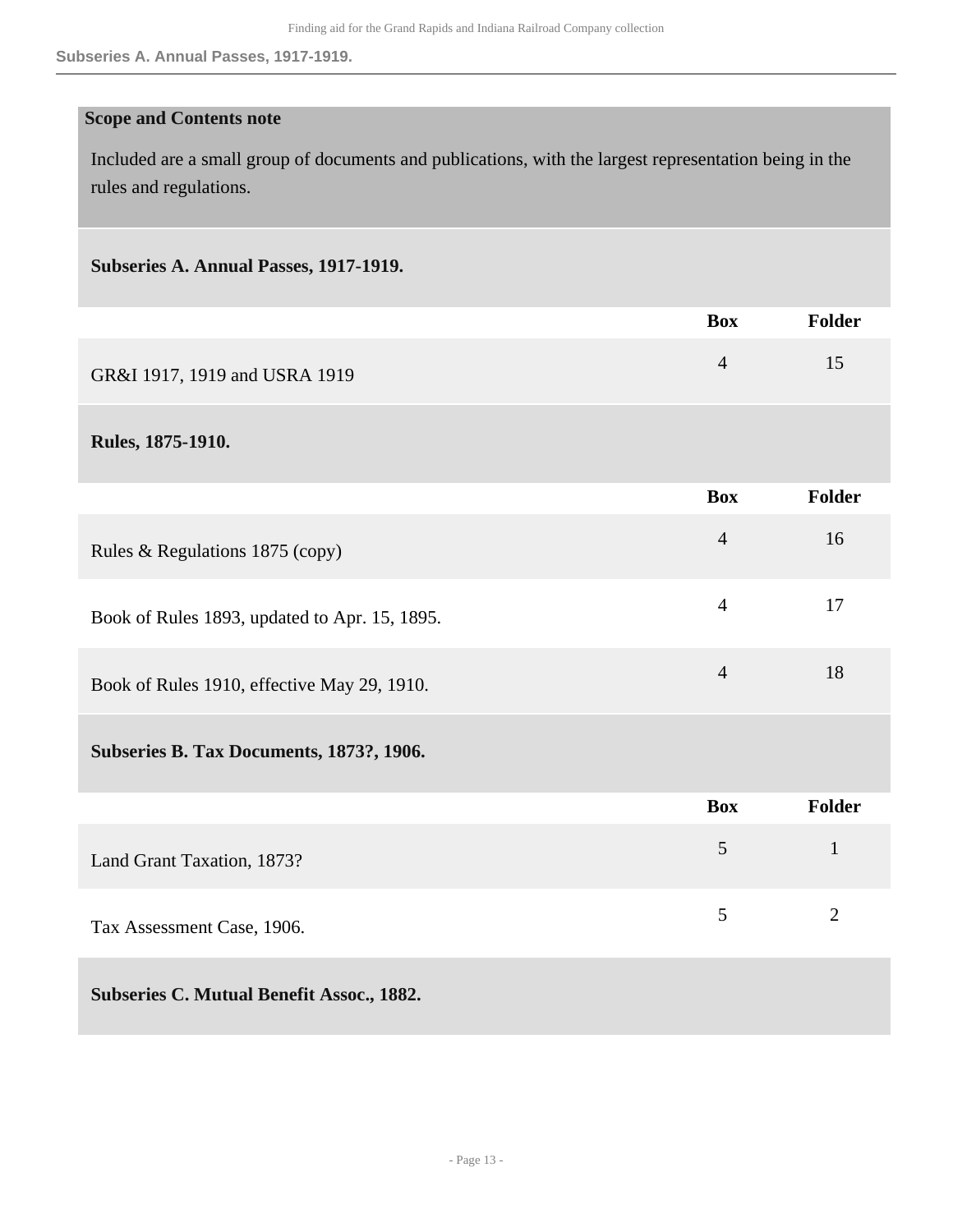#### **Scope and Contents note**

Included are a small group of documents and publications, with the largest representation being in the rules and regulations.

#### **Subseries A. Annual Passes, 1917-1919.**

|                                               | <b>Box</b>     | <b>Folder</b>  |
|-----------------------------------------------|----------------|----------------|
| GR&I 1917, 1919 and USRA 1919                 | $\overline{4}$ | 15             |
| Rules, 1875-1910.                             |                |                |
|                                               | <b>Box</b>     | <b>Folder</b>  |
| Rules & Regulations 1875 (copy)               | $\overline{4}$ | 16             |
| Book of Rules 1893, updated to Apr. 15, 1895. | $\overline{4}$ | 17             |
| Book of Rules 1910, effective May 29, 1910.   | $\overline{4}$ | 18             |
| Subseries B. Tax Documents, 1873?, 1906.      |                |                |
|                                               | <b>Box</b>     | <b>Folder</b>  |
| Land Grant Taxation, 1873?                    | 5              | $\mathbf{1}$   |
| Tax Assessment Case, 1906.                    | 5              | $\overline{2}$ |
| Subseries C. Mutual Benefit Assoc., 1882.     |                |                |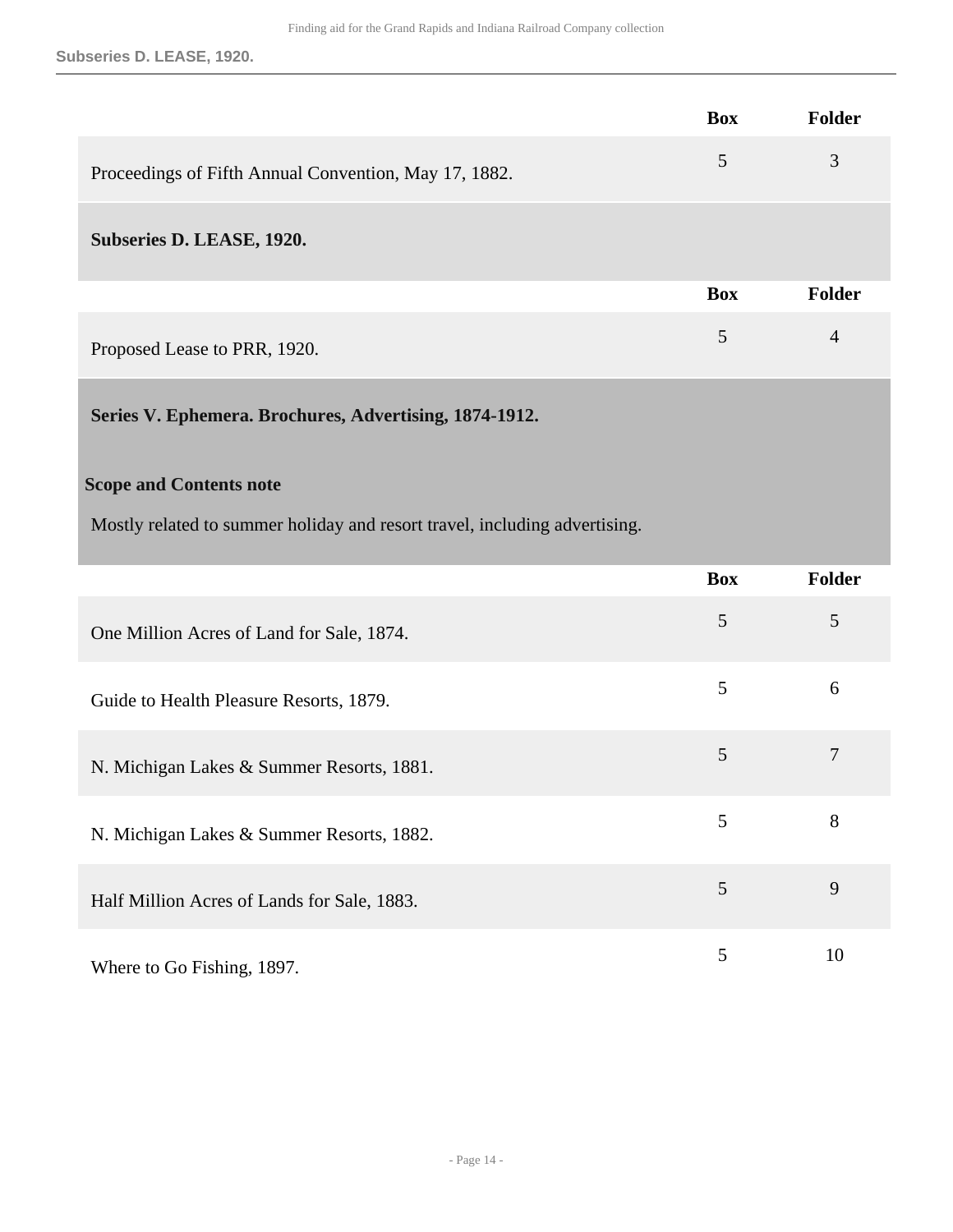**Subseries D. LEASE, 1920.**

<span id="page-13-0"></span>

|                                                                            | <b>Box</b> | Folder         |
|----------------------------------------------------------------------------|------------|----------------|
| Proceedings of Fifth Annual Convention, May 17, 1882.                      | 5          | 3              |
| Subseries D. LEASE, 1920.                                                  |            |                |
|                                                                            | <b>Box</b> | Folder         |
| Proposed Lease to PRR, 1920.                                               | 5          | $\overline{4}$ |
| Series V. Ephemera. Brochures, Advertising, 1874-1912.                     |            |                |
| <b>Scope and Contents note</b>                                             |            |                |
| Mostly related to summer holiday and resort travel, including advertising. |            |                |
|                                                                            | <b>Box</b> | Folder         |
| One Million Acres of Land for Sale, 1874.                                  | 5          | 5              |
| Guide to Health Pleasure Resorts, 1879.                                    | 5          | 6              |
| N. Michigan Lakes & Summer Resorts, 1881.                                  | 5          | $\overline{7}$ |
| N. Michigan Lakes & Summer Resorts, 1882.                                  | 5          | 8              |
| Half Million Acres of Lands for Sale, 1883.                                | 5          | 9              |
| Where to Go Fishing, 1897.                                                 | 5          | 10             |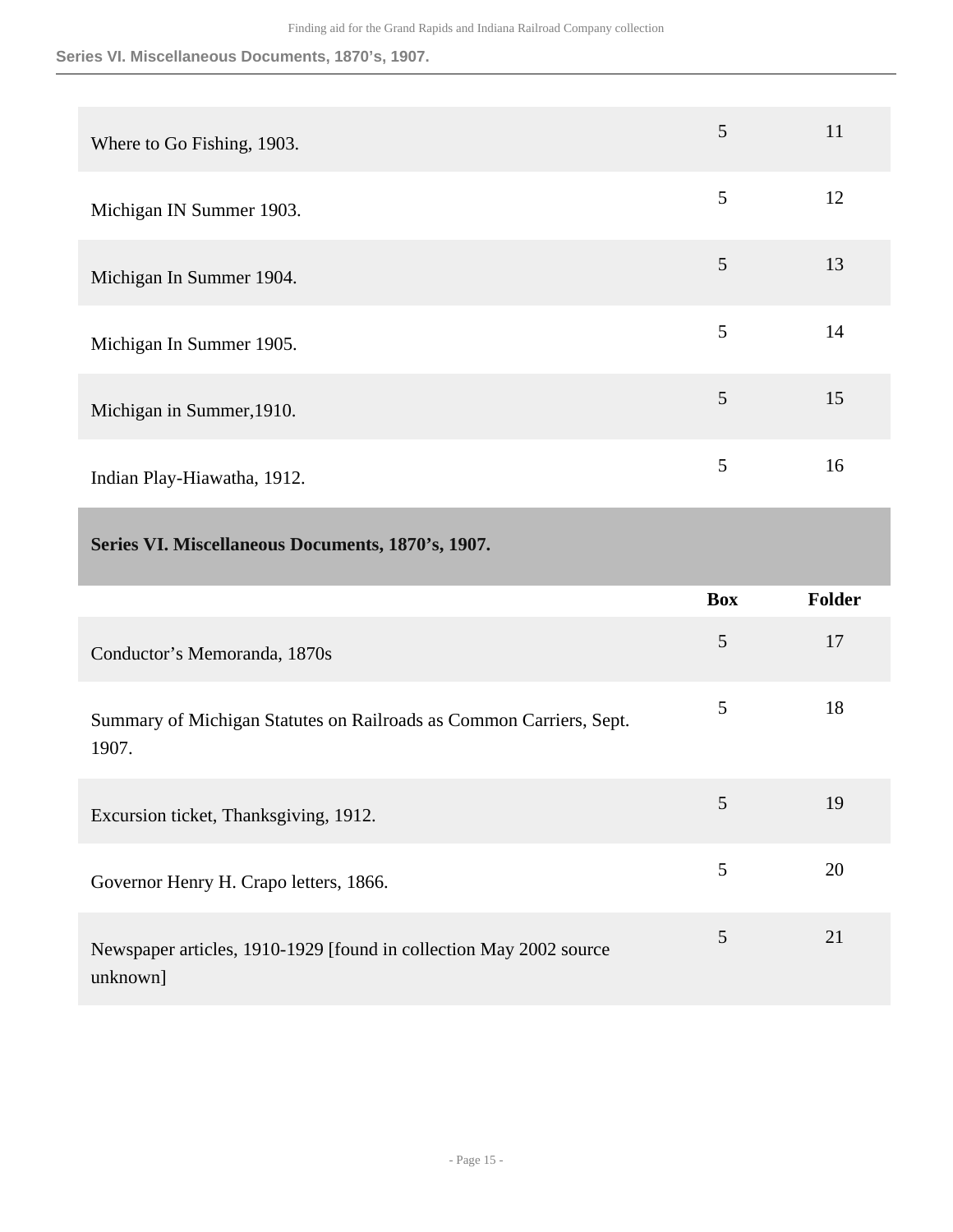**Series VI. Miscellaneous Documents, 1870's, 1907.**

| Where to Go Fishing, 1903.  | 5 | 11 |
|-----------------------------|---|----|
| Michigan IN Summer 1903.    | 5 | 12 |
| Michigan In Summer 1904.    | 5 | 13 |
| Michigan In Summer 1905.    | 5 | 14 |
| Michigan in Summer, 1910.   | 5 | 15 |
| Indian Play-Hiawatha, 1912. | 5 | 16 |

### <span id="page-14-0"></span>**Series VI. Miscellaneous Documents, 1870's, 1907.**

|                                                                                | <b>Box</b> | <b>Folder</b> |
|--------------------------------------------------------------------------------|------------|---------------|
| Conductor's Memoranda, 1870s                                                   | 5          | 17            |
| Summary of Michigan Statutes on Railroads as Common Carriers, Sept.<br>1907.   | 5          | 18            |
| Excursion ticket, Thanksgiving, 1912.                                          | 5          | 19            |
| Governor Henry H. Crapo letters, 1866.                                         | 5          | 20            |
| Newspaper articles, 1910-1929 [found in collection May 2002 source<br>unknown] | 5          | 21            |